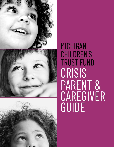





# MICHIGAN CHILDREN'S TRUST FUND **CRISIS** PARENT& CAREGIVER GUIDE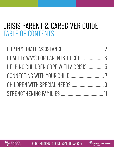# CRISIS PARENT & CAREGIVER GUIDE TABLE OF CONTENTS

| HEALTHY WAYS FOR PARENTS TO COPE  3    |  |
|----------------------------------------|--|
| HELPING CHILDREN COPE WITH A CRISIS  5 |  |
|                                        |  |
|                                        |  |
|                                        |  |



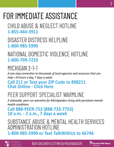# FOR IMMEDIATE ASSISTANCE

CHILD ABUSE & NEGLECT HOTLINE **1-855-444-3911**

DISASTER DISTRESS HELPLINE **1-800-985-5990**

### NATIONAL DOMESTIC VIOLENCE HOTLINE **1-800-799-7233**

## MICHIGAN 2-1-1

A one-stop connection to thousands of local agencies and resources that can *help—24hoursaday,7daysaweek.*

### **Call 211 or Text your ZIP Code to 898211 Chat Online - Click Here**

# PEER SUPPORT SPECIALIST WARMLINE

A statewide, peer-run warmline for Michiganders living with persistent mental *health conditions.* 

**Call888-PEER-753(888-733-7753) 10a.m.-2a.m.,7daysaweek**

### SUBSTANCE ABUSE & MENTAL HEALTH SERVICES ADMINISTRATION HOTLINE **1-800-985-5990orTextTalkWithUsto66746**



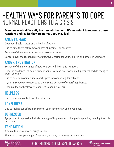# **HEALTHY WAYS FOR PARENTS TO COPE** NORMAL REACTIONS TO A CRISIS

Everyone reacts differently to stressful situations. It's important to recognize these reactions and realize they are normal. You may feel:

### **ANXIETY, FEAR**

Over your health status or the health of others.

Due to time taken off from work, loss of income, job security.

Because of the obstacles to securing essential items.

Concern over the responsibility of effectively caring for your children and others in your care.

### **ANGER, FRUSTRATION**

Because of the uncertainty of how long you will be in this situation.

Over the challenges of being stuck at home, with no time to yourself, potentially while trying to work remotely.

Due to boredom or inability to participate in work or regular activities.

If you think you were exposed to the disease because of others' negligence.

Over insufficient healthcare resources to handle a crisis.

### **HELPLESS**

Due to a lack of control over the situation.

### **LONELINESS**

Due to feeling cut off from the world, your community, and loved ones.

### DEPRESSED

Symptoms of depression include: feelings of hopelessness, changes in appetite, sleeping too little or too much.

### TEMPTATION

A desire to use alcohol or drugs to cope.

The urge to take your anger, frustration, anxiety, or sadness out on others.



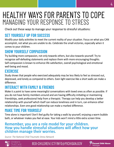# HEALTHY WAYS FOR PARENTS TO COPE MANAGING YOUR RESPONSE TO STRESS

Check out these ways to manage your response to stressful situations:

### **SET YOURSELF UP FOR SUCCESS**

Modify your daily activities to meet the current reality of your situation. Focus on what you CAN accomplish, not what you are unable to do. Celebrate the small victories, especially when it comes to your children.

### **SHOW YOURSELF COMPASSION**

Try building more compassion, not only towards others, but also towards yourself. Try to recognize self-defeating statements and replace them with more encouraging thoughts. Self-compassion is known to enhance life-satisfaction, overall psychological and emotional well-being and mood.

### EXERCISE

Study shows that people who exercised adequately may be less likely to feel as stressed out, depressed, and lonely as compared to others. Even light exercise like a short walk can make a difference.

### **INTERACT WITH FAMILY & FRIENDS**

Make it a point to have some meaningful conversations with loved ones as often as possible. If you do not have family members around and are having difficulty initiating or maintaining friendships, seek professional help from a therapist. Therapy can help you develop a better relationship with yourself which itself can reduce loneliness and in turn, can enhance other relationships. Even one good relationship can make a marked difference.

### **MAKE TIME FOR YOURSELF**

Time alone is important! Don't feel guilty for taking a walk by yourself, enjoying a warm bubble bath, or whatever makes you feel at ease. Your kids won't mind a little extra screen time.

### Remember, you are a role model for your children.<br>How you handle stressful situations will affect how your children manage their worries.

Source: The National Child Traumatic Stress Network



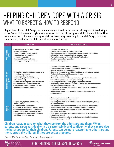# HELPINGCHILDRENCOPEWITHACRISIS WHAT TO EXPECT & HOW TO RESPOND

Regardless of your child's age, he or she may feel upset or have other strong emotions during a crisis. Some children react right away, while others may show signs of difficulty much later. How a child reacts and the common signs of distress can vary according to the child's age, previous experiences, and how the child typically copes with stress.

| <b>AGE</b>                    | <b>REACTIONS</b>                                                                                                                                                                                                                                                                                                         | <b>HELPFUL RESPONSES</b>                                                                                                                                                                                                                                                                                                                                                                                                                                                                                                                                                                                                                                                                                                                                   |
|-------------------------------|--------------------------------------------------------------------------------------------------------------------------------------------------------------------------------------------------------------------------------------------------------------------------------------------------------------------------|------------------------------------------------------------------------------------------------------------------------------------------------------------------------------------------------------------------------------------------------------------------------------------------------------------------------------------------------------------------------------------------------------------------------------------------------------------------------------------------------------------------------------------------------------------------------------------------------------------------------------------------------------------------------------------------------------------------------------------------------------------|
| PRE-SCHOOL<br>$(3-5)$         | • Fear of being alone, bad dreams<br>· Speech difficulties<br>• Loss of bladder/bowel control;<br>constipation, bed-wetting<br>• Change in appetite<br>• Increased temper tantrums,<br>whining, or clinging behaviors                                                                                                    | • Patience and tolerance<br>• Provide reassurance (verbal and physical)<br>· Encourage expression through play, reenactment, story-telling<br>• Allow short-term changes in sleep arrangements<br>. Plan calming, comforting activities before bedtime<br>. Maintain regular family routines<br>• Avoid media exposure                                                                                                                                                                                                                                                                                                                                                                                                                                     |
| ELEMENTARY SCHOOL<br>$(6-12)$ | • Irritability, whining, aggressive behavior<br>• Clinging, nightmares<br>· Sleep/appetite disturbance<br>• Physical symptoms (headaches,<br>stomachaches)<br>• Withdrawal from peers, loss of interest<br>• Competition for parents' attention<br>• Forgetfulness about chores and new<br>information learned at school | · Patience, tolerance, and reassurance<br>. Play sessions and staying in touch with friends through<br>• Regular exercise and stretching<br>· Engage in educational activities (workbooks, educational games)<br>• Participate in structured household chores<br>• Set gentle but firm limits<br>. Discuss the current outbreak; encourage questions & include<br>what is being done in the family/community<br>. Encourage expression through play and conversation<br>. Help family create ideas for enhancing health promotion behaviors<br>and maintaining family routines<br>. Limit media exposure, talking about what they have seen/heard<br>including at school<br>• Address any stigma or discrimination occurring and clarify<br>misinformation |
| TEENS<br>(13-18)              | • Physical symptoms (headaches,<br>rashes, etc.)<br>• Sleep/appetite disturbance<br>• Agitation or decrease in energy, apathy<br>• Ignoring health promotion behaviors<br>• Isolating from peers and loved ones<br>• Concerns about stigma and injustices<br>• Avoiding or cutting school                                | · Patience, tolerance, and reassurance<br>• Encourage continuation of routines<br>. Encourage discussion of outbreak experience with peers, family<br>(but do not force)<br>. Stay in touch with friends through phone, Internet, video games<br>. Participate in family routines, including chores, supporting<br>younger siblings, and planning strategies to enhance health<br>promotion behaviors<br>. Limit media exposure, talking about what they have seen/heard<br>including at school<br>. Discuss and address stigma, prejudice and potential injustices<br>occurring during outbreak                                                                                                                                                           |

#### **Children react, in part, on what they see from the adults around them. When** parents and caregivers deal with a disaster calmly and confidently, they can provide the best support for their children. Parents can be more reassuring to others around them, especially children, if they are better prepared.

*Source: The National Child Traumatic Stress Network* 



Children's **Trust Fund** 

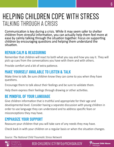# HELPING CHILDREN COPE WITH STRESS TALKING THROUGH A CRISIS

Communication is key during a crisis. While it may seem safer to shelter children from stressful information, you can actually help them feel more at ease by calmly talking through the situation together. Focus on supporting children by encouraging questions and helping them understand the situation.

### **REMAIN CALM & REASSURING**

Remember that children will react to both what you say and how you say it. They will pick up cues from the conversations you have with them and with others.

Provide comfort and a bit of extra patience.

### **MAKE YOURSELF AVAILABLE TO LISTEN & TALK**

Make time to talk. Be sure children know they can come to you when they have questions.

Encourage them to talk about their feelings and be sure to validate them.

Help them express their feelings through drawing or other activities.

### **BE MINDFUL OF YOUR LANGUAGE**

Give children information that is truthful and appropriate for their age and developmental level. Consider having a separate discussion with young children in order to use language they can understand and to address specific fears or misconceptions they may have.

### **EMPHASIZE YOUR SUPPORT**

Reassure your children that you will take care of any needs they may have.

Check back in with your children on a regular basis or when the situation changes.

Source: The National Child Traumatic Stress Network



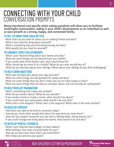## CONNECTING WITH YOUR CHILD CONVERSATION PROMPTS

Being intentional and specific when asking questions will allow you to facilitate meaningful conversation, aiding in your child's development as an individual as well as your growth as a strong, happy, and connected family.

### **TOGETTOKNOWYOURCHILDBETTER**

- What traits do you look for when you're making friends and why?
- What's your favorite thing about yourself?
- What's something that you find embarrassing and why?
- What goal(s) do you have for yourself?

#### **TO ENHANCE FAMILY RELATIONSHIPS**

- What's your favorite thing about your family and why?
- What are some things you've learned from your family?
- If you could make three family rules, what would they be?
- What should we do more of as a family? What do you wish we did less of?
- What do you like best about your siblings? What about your siblings do you find challenging?

#### **TO HELP SHOW GRATITUDE**

- What was the best part about your day and why?
- What are some things you feel grateful for today and why?
- What are some things that you don't need, but you're really happy to have?
- What are some things that are easy to complain about, but can actually be really great?

#### **TO HELP DEVELOP IMAGINATION**

- What's something that makes you excited?
- What do you dream about? What do you wonder?
- If you wrote a book or made a movie, what would it be about?
- If you could have any superpower, what would it be and why?
- What color is the happiest? What color is the angriest? What color is the most excited?

#### **TO DEVELOP EMPATHY**

- How were you able to be kind to someone today?
- How do you think other people feel about the way that you treat them?
- How can you support someone you see who is feeling down, being teased, etc.?
- If you could change one thing about the world, what would it be and why?

#### **TO DEVELOP MENTAL STRENGTH**

- What's your favorite topic/subject to learn about?
- What feeling is the most uncomfortable for you?
- How do you face your fears when you have them?
- Who helps you achieve your goals?





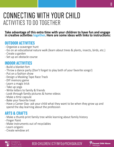# CONNECTING WITH YOUR CHILD **ACTIVITIES TO DO TOGETHER**

Take advantage of this extra time with your children to have fun and engage in creative activities together. Here are some ideas with links to instructions:

### **OUTDOOR ACTIVITIES**

- Organize a scavenger hunt
- Go on an educational nature walk (learn about trees & plants, insects, birds, etc.)
- Create a garden
- Set up an obstacle course

### **INDOOR ACTIVITIES**

- Build a blanket fort
- Throw a dance party (Don't forget to play both of your favorite songs!)
- Put on a fashion show
- Design a Masking Tape Race Track
- DIY memory game
- Learn a magic trick
- Take up yoga
- Write letters to family & friends
- Look through family pictures & home videos
- Make a time capsule
- Bake your favorite treat
- Have a Career Day- ask your child what they want to be when they grow up and spend the day learning about the profession

### **ARTS & CRAFTS**

- Make a thumb print family tree while learning about family history
- Finger Paint
- Make instruments out of recyclables
- Learn origami
- Create window art

Trust Fund

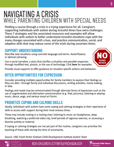# **NAVIGATING A CRISIS** WHILE PARENTING CHILDREN WITH SPECIAL NEEDS

Plotting a course through a crisis is a trying experience for all. Caregivers supporting individuals with autism during stressful times face extra challenges. These 7 strategies and the associated resources and examples will allow individuals with autism to better understand stressful situations cope with the many changes associated with crises, and practice communication, social, and adaptive skills that may reduce some of the trials during uncertain times.

### **SUPPORT UNDERSTANDING**

Describe new situations using concrete language and terms. Avoid flowery or abstract phrasing.

Use a social narrative, a story that clarifies a situation and possible responses through modified text, photos, or the use of technology. Click here for examples.

Provide visual supports to offer guidance on situation specific actions and behaviors.

### OFFER OPPORTUNITIES FOR EXPRESSION

Consider providing multiple opportunities for family members to express their feelings as they are able—through family and individual discussions, writing activities, movie making, or play.

Feelings and needs may be communicated through alternate forms of expression such as the use of augmentative and alternative communication (e.g. iPad, pictures), listening or playing music, dance, yoga, and various visual art forms.

### **PRIORITIZE COPING AND CALMING SKILLS**

Ideally, individuals with autism have some coping and calming strategies in their repertoire of skills to access with support during their most anxious times.

These may include rocking in a rocking chair, listening to music on headphones, deep breathing, watching a preferred video clip, brief periods of vigorous exercise, or accessing a favorite activity or material.

If coping or calming strategies are not yet part of the routine, caregivers can prioritize the teaching of these skills during this time of uncertainty.

Source: UNC Frank Porter Graham Child Development Institute Autism Team





9

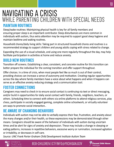### NAVIGATING A CRISIS WHILE PARENTING CHILDREN WITH SPECIAL NEEDS **MAINTAIN ROUTINES**

Sleep/wake routines: Maintaining physical health is key for all family members and ensuring proper sleep is an important contributor. Sleep disturbances are more common in individuals with autism, thus extra attention may be required to support good sleep hygiene and maintain bedtime and waking routines.

Household chores/daily living skills: Taking part in structured household chores and routines is a recommended strategy to support children and young adults coping with stress related to change.

Expanding the use of a visual schedule, and using one more regularly throughout the day, may help facilitate participation in activities at home and reduce anxiety.

### **BUILD NEW ROUTINES**

Transition off screens. Establishing a clear, consistent, and concrete routine for this transition can better prepare the individual for the coming transition and offer support throughout.

Offer choices. In a time of crisis, when most people feel like so much is out of their control, providing choices can increase a sense of autonomy and motivation. Creating regular opportunities across the day where family members have a voice about what happens and when it happens can serve as an effective anxiety reducing strategy and a communication tool.

### **FOSTER CONNECTIONS**

Caregivers may need to check in to ensure social contact is continuing via text or direct messaging, and/or build in opportunities for daily social contact with family, friends, neighbors, teachers, or others. Scheduling time to connect with others via online platforms to attend religious services, play chess, participate in socially engaged gaming, complete online schoolwork, or virtually volunteer are ways to promote social interaction..

### **BE AWARE OF CHANGING BEHAVIORS**

Individuals with autism may not be able to verbally express their fear, frustration, and anxiety about the many changes and/or their health, so these expressions may be demonstrated through other means. Caregivers should be aware of the behavior of individuals with autism during uncertain times and be alert for signs of anxiety and depression. These may include a change in sleeping or eating patterns, increases in repetitive behaviors, excessive worry or rumination, increased agitation or irritability, or decreases in self-care.

Source: UNC Frank Porter Graham Child Development Institute Autism Team